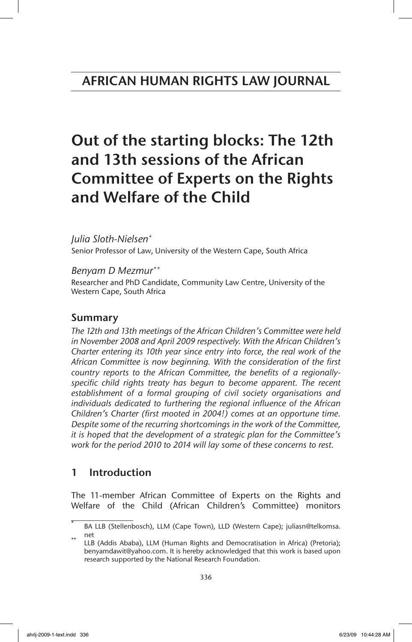# Out of the starting blocks: The 12th and 13th sessions of the African Committee of Experts on the Rights and Welfare of the Child

## *Julia Sloth-Nielsen\**

Senior Professor of Law, University of the Western Cape, South Africa

*Benyam D Mezmur\*\**

Researcher and PhD Candidate, Community Law Centre, University of the Western Cape, South Africa

## Summary

*The 12th and 13th meetings of the African Children's Committee were held in November 2008 and April 2009 respectively. With the African Children's Charter entering its 10th year since entry into force, the real work of the African Committee is now beginning. With the consideration of the first country reports to the African Committee, the benefits of a regionallyspecific child rights treaty has begun to become apparent. The recent establishment of a formal grouping of civil society organisations and individuals dedicated to furthering the regional influence of the African Children's Charter (first mooted in 2004!) comes at an opportune time. Despite some of the recurring shortcomings in the work of the Committee, it is hoped that the development of a strategic plan for the Committee's work for the period 2010 to 2014 will lay some of these concerns to rest.*

## 1 Introduction

The 11-member African Committee of Experts on the Rights and Welfare of the Child (African Children's Committee) monitors

BA LLB (Stellenbosch), LLM (Cape Town), LLD (Western Cape); juliasn@telkomsa.

net<br>LLB (Addis Ababa), LLM (Human Rights and Democratisation in Africa) (Pretoria); benyamdawit@yahoo.com. It is hereby acknowledged that this work is based upon research supported by the National Research Foundation.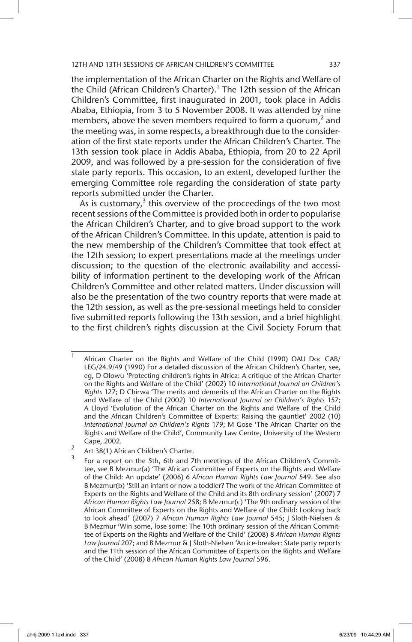the implementation of the African Charter on the Rights and Welfare of the Child (African Children's Charter).<sup>1</sup> The 12th session of the African Children's Committee, first inaugurated in 2001, took place in Addis Ababa, Ethiopia, from 3 to 5 November 2008. It was attended by nine members, above the seven members required to form a quorum,<sup>2</sup> and the meeting was, in some respects, a breakthrough due to the consideration of the first state reports under the African Children's Charter. The 13th session took place in Addis Ababa, Ethiopia, from 20 to 22 April 2009, and was followed by a pre-session for the consideration of five state party reports. This occasion, to an extent, developed further the emerging Committee role regarding the consideration of state party reports submitted under the Charter.

As is customary, $3$  this overview of the proceedings of the two most recent sessions of the Committee is provided both in order to popularise the African Children's Charter, and to give broad support to the work of the African Children's Committee. In this update, attention is paid to the new membership of the Children's Committee that took effect at the 12th session; to expert presentations made at the meetings under discussion; to the question of the electronic availability and accessibility of information pertinent to the developing work of the African Children's Committee and other related matters. Under discussion will also be the presentation of the two country reports that were made at the 12th session, as well as the pre-sessional meetings held to consider five submitted reports following the 13th session, and a brief highlight to the first children's rights discussion at the Civil Society Forum that

African Charter on the Rights and Welfare of the Child (1990) OAU Doc CAB/ LEG/24.9/49 (1990) For a detailed discussion of the African Children's Charter, see, eg, D Olowu 'Protecting children's rights in Africa: A critique of the African Charter on the Rights and Welfare of the Child' (2002) 10 *International Journal on Children's Rights* 127; D Chirwa 'The merits and demerits of the African Charter on the Rights and Welfare of the Child (2002) 10 *International Journal on Children's Rights* 157; A Lloyd 'Evolution of the African Charter on the Rights and Welfare of the Child and the African Children's Committee of Experts: Raising the gauntlet' 2002 (10) *International Journal on Children's Rights* 179; M Gose 'The African Charter on the Rights and Welfare of the Child', Community Law Centre, University of the Western Cape, 2002.

<sup>&</sup>lt;sup>2</sup> Art 38(1) African Children's Charter.

<sup>3</sup> For a report on the 5th, 6th and 7th meetings of the African Children's Committee, see B Mezmur(a) 'The African Committee of Experts on the Rights and Welfare of the Child: An update' (2006) 6 *African Human Rights Law Journal* 549. See also B Mezmur(b) 'Still an infant or now a toddler? The work of the African Committee of Experts on the Rights and Welfare of the Child and its 8th ordinary session' (2007) 7 *African Human Rights Law Journal* 258; B Mezmur(c) 'The 9th ordinary session of the African Committee of Experts on the Rights and Welfare of the Child: Looking back to look ahead' (2007) 7 *African Human Rights Law Journal* 545; J Sloth-Nielsen & B Mezmur 'Win some, lose some: The 10th ordinary session of the African Committee of Experts on the Rights and Welfare of the Child' (2008) 8 *African Human Rights Law Journal* 207; and B Mezmur & J Sloth-Nielsen 'An ice-breaker: State party reports and the 11th session of the African Committee of Experts on the Rights and Welfare of the Child' (2008) 8 *African Human Rights Law Journal* 596.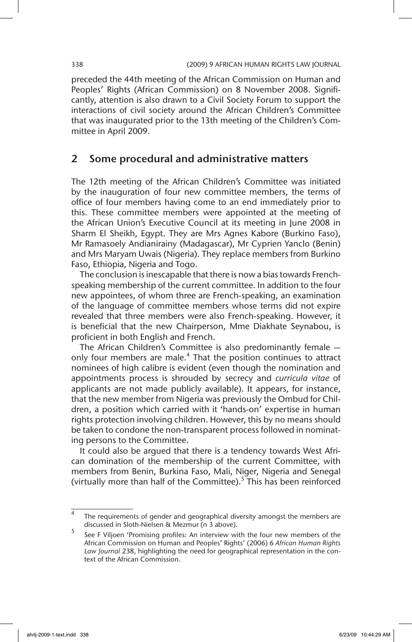preceded the 44th meeting of the African Commission on Human and Peoples' Rights (African Commission) on 8 November 2008. Significantly, attention is also drawn to a Civil Society Forum to support the interactions of civil society around the African Children's Committee that was inaugurated prior to the 13th meeting of the Children's Committee in April 2009.

## 2 Some procedural and administrative matters

The 12th meeting of the African Children's Committee was initiated by the inauguration of four new committee members, the terms of office of four members having come to an end immediately prior to this. These committee members were appointed at the meeting of the African Union's Executive Council at its meeting in June 2008 in Sharm El Sheikh, Egypt. They are Mrs Agnes Kabore (Burkino Faso), Mr Ramasoely Andianirainy (Madagascar), Mr Cyprien Yanclo (Benin) and Mrs Maryam Uwais (Nigeria). They replace members from Burkino Faso, Ethiopia, Nigeria and Togo.

The conclusion is inescapable that there is now a bias towards Frenchspeaking membership of the current committee. In addition to the four new appointees, of whom three are French-speaking, an examination of the language of committee members whose terms did not expire revealed that three members were also French-speaking. However, it is beneficial that the new Chairperson, Mme Diakhate Seynabou, is proficient in both English and French.

The African Children's Committee is also predominantly female only four members are male.<sup>4</sup> That the position continues to attract nominees of high calibre is evident (even though the nomination and appointments process is shrouded by secrecy and *curricula vitae* of applicants are not made publicly available). It appears, for instance, that the new member from Nigeria was previously the Ombud for Children, a position which carried with it 'hands-on' expertise in human rights protection involving children. However, this by no means should be taken to condone the non-transparent process followed in nominating persons to the Committee.

It could also be argued that there is a tendency towards West African domination of the membership of the current Committee, with members from Benin, Burkina Faso, Mali, Niger, Nigeria and Senegal (virtually more than half of the Committee).<sup>5</sup> This has been reinforced

The requirements of gender and geographical diversity amongst the members are discussed in Sloth-Nielsen & Mezmur (n 3 above).

<sup>5</sup> See F Viljoen 'Promising profiles: An interview with the four new members of the African Commission on Human and Peoples' Rights' (2006) 6 *African Human Rights Law Journal* 238, highlighting the need for geographical representation in the context of the African Commission.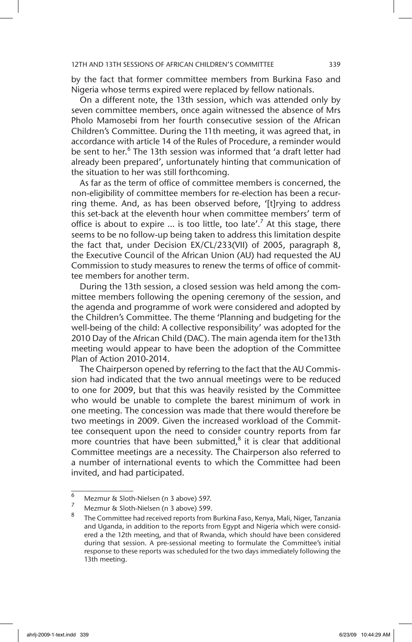by the fact that former committee members from Burkina Faso and Nigeria whose terms expired were replaced by fellow nationals.

On a different note, the 13th session, which was attended only by seven committee members, once again witnessed the absence of Mrs Pholo Mamosebi from her fourth consecutive session of the African Children's Committee. During the 11th meeting, it was agreed that, in accordance with article 14 of the Rules of Procedure, a reminder would be sent to her.<sup>6</sup> The 13th session was informed that 'a draft letter had already been prepared', unfortunately hinting that communication of the situation to her was still forthcoming.

As far as the term of office of committee members is concerned, the non-eligibility of committee members for re-election has been a recurring theme. And, as has been observed before, '[t]rying to address this set-back at the eleventh hour when committee members' term of office is about to expire ... is too little, too late'.<sup>7</sup> At this stage, there seems to be no follow-up being taken to address this limitation despite the fact that, under Decision EX/CL/233(VII) of 2005, paragraph 8, the Executive Council of the African Union (AU) had requested the AU Commission to study measures to renew the terms of office of committee members for another term.

During the 13th session, a closed session was held among the committee members following the opening ceremony of the session, and the agenda and programme of work were considered and adopted by the Children's Committee. The theme 'Planning and budgeting for the well-being of the child: A collective responsibility' was adopted for the 2010 Day of the African Child (DAC). The main agenda item for the13th meeting would appear to have been the adoption of the Committee Plan of Action 2010-2014.

The Chairperson opened by referring to the fact that the AU Commission had indicated that the two annual meetings were to be reduced to one for 2009, but that this was heavily resisted by the Committee who would be unable to complete the barest minimum of work in one meeting. The concession was made that there would therefore be two meetings in 2009. Given the increased workload of the Committee consequent upon the need to consider country reports from far more countries that have been submitted, $8$  it is clear that additional Committee meetings are a necessity. The Chairperson also referred to a number of international events to which the Committee had been invited, and had participated.

 $\frac{6}{7}$  Mezmur & Sloth-Nielsen (n 3 above) 597.

 $\frac{7}{8}$  Mezmur & Sloth-Nielsen (n 3 above) 599.

The Committee had received reports from Burkina Faso, Kenya, Mali, Niger, Tanzania and Uganda, in addition to the reports from Egypt and Nigeria which were considered a the 12th meeting, and that of Rwanda, which should have been considered during that session. A pre-sessional meeting to formulate the Committee's initial response to these reports was scheduled for the two days immediately following the 13th meeting.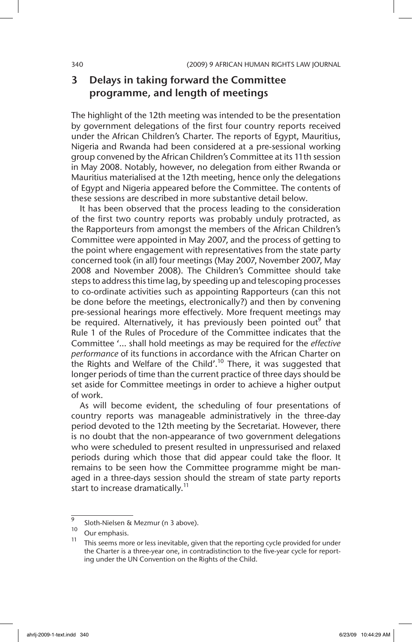## 3 Delays in taking forward the Committee programme, and length of meetings

The highlight of the 12th meeting was intended to be the presentation by government delegations of the first four country reports received under the African Children's Charter. The reports of Egypt, Mauritius, Nigeria and Rwanda had been considered at a pre-sessional working group convened by the African Children's Committee at its 11th session in May 2008. Notably, however, no delegation from either Rwanda or Mauritius materialised at the 12th meeting, hence only the delegations of Egypt and Nigeria appeared before the Committee. The contents of these sessions are described in more substantive detail below.

It has been observed that the process leading to the consideration of the first two country reports was probably unduly protracted, as the Rapporteurs from amongst the members of the African Children's Committee were appointed in May 2007, and the process of getting to the point where engagement with representatives from the state party concerned took (in all) four meetings (May 2007, November 2007, May 2008 and November 2008). The Children's Committee should take steps to address this time lag, by speeding up and telescoping processes to co-ordinate activities such as appointing Rapporteurs (can this not be done before the meetings, electronically?) and then by convening pre-sessional hearings more effectively. More frequent meetings may be required. Alternatively, it has previously been pointed out<sup>9</sup> that Rule 1 of the Rules of Procedure of the Committee indicates that the Committee '… shall hold meetings as may be required for the *effective performance* of its functions in accordance with the African Charter on the Rights and Welfare of the Child'.<sup>10</sup> There, it was suggested that longer periods of time than the current practice of three days should be set aside for Committee meetings in order to achieve a higher output of work.

As will become evident, the scheduling of four presentations of country reports was manageable administratively in the three-day period devoted to the 12th meeting by the Secretariat. However, there is no doubt that the non-appearance of two government delegations who were scheduled to present resulted in unpressurised and relaxed periods during which those that did appear could take the floor. It remains to be seen how the Committee programme might be managed in a three-days session should the stream of state party reports start to increase dramatically.<sup>11</sup>

<sup>9</sup> Sloth-Nielsen & Mezmur (n 3 above).<br>10  $\sim$  - mechanic

 $\frac{10}{11}$  Our emphasis.

This seems more or less inevitable, given that the reporting cycle provided for under the Charter is a three-year one, in contradistinction to the five-year cycle for reporting under the UN Convention on the Rights of the Child.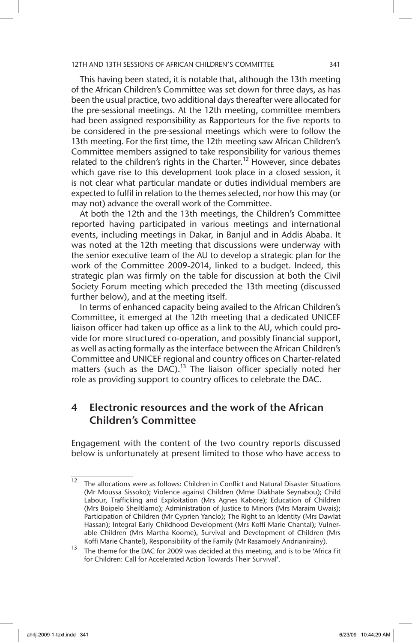This having been stated, it is notable that, although the 13th meeting of the African Children's Committee was set down for three days, as has been the usual practice, two additional days thereafter were allocated for the pre-sessional meetings. At the 12th meeting, committee members had been assigned responsibility as Rapporteurs for the five reports to be considered in the pre-sessional meetings which were to follow the 13th meeting. For the first time, the 12th meeting saw African Children's Committee members assigned to take responsibility for various themes related to the children's rights in the Charter.<sup>12</sup> However, since debates which gave rise to this development took place in a closed session, it is not clear what particular mandate or duties individual members are expected to fulfil in relation to the themes selected, nor how this may (or may not) advance the overall work of the Committee.

At both the 12th and the 13th meetings, the Children's Committee reported having participated in various meetings and international events, including meetings in Dakar, in Banjul and in Addis Ababa. It was noted at the 12th meeting that discussions were underway with the senior executive team of the AU to develop a strategic plan for the work of the Committee 2009-2014, linked to a budget. Indeed, this strategic plan was firmly on the table for discussion at both the Civil Society Forum meeting which preceded the 13th meeting (discussed further below), and at the meeting itself.

In terms of enhanced capacity being availed to the African Children's Committee, it emerged at the 12th meeting that a dedicated UNICEF liaison officer had taken up office as a link to the AU, which could provide for more structured co-operation, and possibly financial support, as well as acting formally as the interface between the African Children's Committee and UNICEF regional and country offices on Charter-related matters (such as the DAC).<sup>13</sup> The liaison officer specially noted her role as providing support to country offices to celebrate the DAC.

## 4 Electronic resources and the work of the African Children's Committee

Engagement with the content of the two country reports discussed below is unfortunately at present limited to those who have access to

 $\frac{12}{12}$  The allocations were as follows: Children in Conflict and Natural Disaster Situations (Mr Moussa Sissoko); Violence against Children (Mme Diakhate Seynabou); Child Labour, Trafficking and Exploitation (Mrs Agnes Kabore); Education of Children (Mrs Boipelo Sheiltlamo); Administration of Justice to Minors (Mrs Maraim Uwais); Participation of Children (Mr Cyprien Yanclo); The Right to an Identity (Mrs Dawlat Hassan); Integral Early Childhood Development (Mrs Koffi Marie Chantal); Vulnerable Children (Mrs Martha Koome), Survival and Development of Children (Mrs Koffi Marie Chantel), Responsibility of the Family (Mr Rasamoely Andrianirainy).

<sup>&</sup>lt;sup>13</sup> The theme for the DAC for 2009 was decided at this meeting, and is to be 'Africa Fit for Children: Call for Accelerated Action Towards Their Survival'.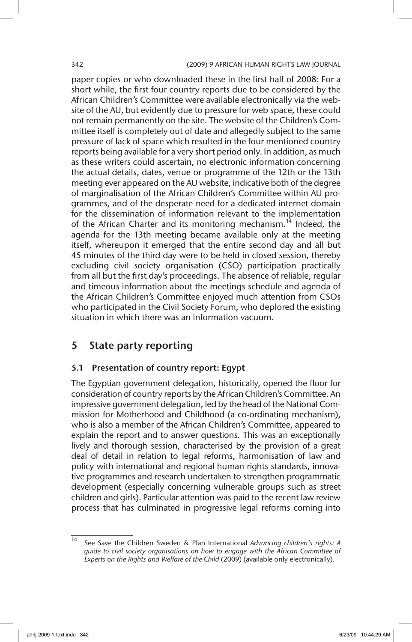#### 342 (2009) 9 AFRICAN HUMAN RIGHTS LAW JOURNAL

paper copies or who downloaded these in the first half of 2008: For a short while, the first four country reports due to be considered by the African Children's Committee were available electronically via the website of the AU, but evidently due to pressure for web space, these could not remain permanently on the site. The website of the Children's Committee itself is completely out of date and allegedly subject to the same pressure of lack of space which resulted in the four mentioned country reports being available for a very short period only. In addition, as much as these writers could ascertain, no electronic information concerning the actual details, dates, venue or programme of the 12th or the 13th meeting ever appeared on the AU website, indicative both of the degree of marginalisation of the African Children's Committee within AU programmes, and of the desperate need for a dedicated internet domain for the dissemination of information relevant to the implementation of the African Charter and its monitoring mechanism.<sup>14</sup> Indeed, the agenda for the 13th meeting became available only at the meeting itself, whereupon it emerged that the entire second day and all but 45 minutes of the third day were to be held in closed session, thereby excluding civil society organisation (CSO) participation practically from all but the first day's proceedings. The absence of reliable, regular and timeous information about the meetings schedule and agenda of the African Children's Committee enjoyed much attention from CSOs who participated in the Civil Society Forum, who deplored the existing situation in which there was an information vacuum.

## 5 State party reporting

## 5.1 Presentation of country report: Egypt

The Egyptian government delegation, historically, opened the floor for consideration of country reports by the African Children's Committee. An impressive government delegation, led by the head of the National Commission for Motherhood and Childhood (a co-ordinating mechanism), who is also a member of the African Children's Committee, appeared to explain the report and to answer questions. This was an exceptionally lively and thorough session, characterised by the provision of a great deal of detail in relation to legal reforms, harmonisation of law and policy with international and regional human rights standards, innovative programmes and research undertaken to strengthen programmatic development (especially concerning vulnerable groups such as street children and girls). Particular attention was paid to the recent law review process that has culminated in progressive legal reforms coming into

<sup>14</sup> See Save the Children Sweden & Plan International *Advancing children's rights: A guide to civil society organisations on how to engage with the African Committee of Experts on the Rights and Welfare of the Child* (2009) (available only electronically).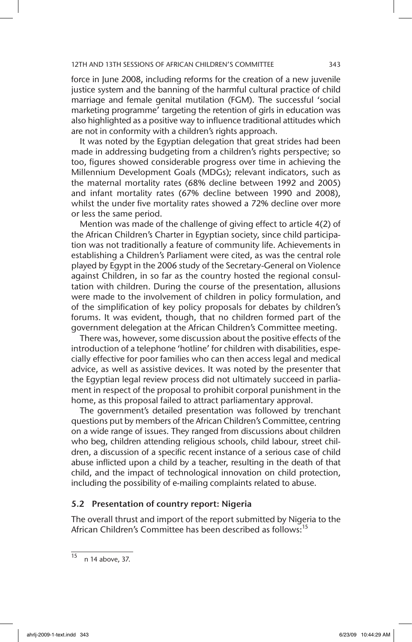force in June 2008, including reforms for the creation of a new juvenile justice system and the banning of the harmful cultural practice of child marriage and female genital mutilation (FGM). The successful 'social marketing programme' targeting the retention of girls in education was also highlighted as a positive way to influence traditional attitudes which are not in conformity with a children's rights approach.

It was noted by the Egyptian delegation that great strides had been made in addressing budgeting from a children's rights perspective; so too, figures showed considerable progress over time in achieving the Millennium Development Goals (MDGs); relevant indicators, such as the maternal mortality rates (68% decline between 1992 and 2005) and infant mortality rates (67% decline between 1990 and 2008), whilst the under five mortality rates showed a 72% decline over more or less the same period.

Mention was made of the challenge of giving effect to article 4(2) of the African Children's Charter in Egyptian society, since child participation was not traditionally a feature of community life. Achievements in establishing a Children's Parliament were cited, as was the central role played by Egypt in the 2006 study of the Secretary-General on Violence against Children, in so far as the country hosted the regional consultation with children. During the course of the presentation, allusions were made to the involvement of children in policy formulation, and of the simplification of key policy proposals for debates by children's forums. It was evident, though, that no children formed part of the government delegation at the African Children's Committee meeting.

There was, however, some discussion about the positive effects of the introduction of a telephone 'hotline' for children with disabilities, especially effective for poor families who can then access legal and medical advice, as well as assistive devices. It was noted by the presenter that the Egyptian legal review process did not ultimately succeed in parliament in respect of the proposal to prohibit corporal punishment in the home, as this proposal failed to attract parliamentary approval.

The government's detailed presentation was followed by trenchant questions put by members of the African Children's Committee, centring on a wide range of issues. They ranged from discussions about children who beg, children attending religious schools, child labour, street children, a discussion of a specific recent instance of a serious case of child abuse inflicted upon a child by a teacher, resulting in the death of that child, and the impact of technological innovation on child protection, including the possibility of e-mailing complaints related to abuse.

## 5.2 Presentation of country report: Nigeria

The overall thrust and import of the report submitted by Nigeria to the African Children's Committee has been described as follows:<sup>15</sup>

 $\overline{15}$  n 14 above, 37.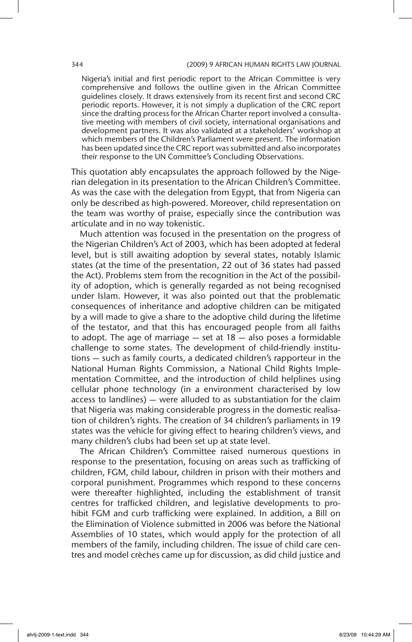Nigeria's initial and first periodic report to the African Committee is very comprehensive and follows the outline given in the African Committee guidelines closely. It draws extensively from its recent first and second CRC periodic reports. However, it is not simply a duplication of the CRC report since the drafting process for the African Charter report involved a consultative meeting with members of civil society, international organisations and development partners. It was also validated at a stakeholders' workshop at which members of the Children's Parliament were present. The information has been updated since the CRC report was submitted and also incorporates their response to the UN Committee's Concluding Observations.

This quotation ably encapsulates the approach followed by the Nigerian delegation in its presentation to the African Children's Committee. As was the case with the delegation from Egypt, that from Nigeria can only be described as high-powered. Moreover, child representation on the team was worthy of praise, especially since the contribution was articulate and in no way tokenistic.

Much attention was focused in the presentation on the progress of the Nigerian Children's Act of 2003, which has been adopted at federal level, but is still awaiting adoption by several states, notably Islamic states (at the time of the presentation, 22 out of 36 states had passed the Act). Problems stem from the recognition in the Act of the possibility of adoption, which is generally regarded as not being recognised under Islam. However, it was also pointed out that the problematic consequences of inheritance and adoptive children can be mitigated by a will made to give a share to the adoptive child during the lifetime of the testator, and that this has encouraged people from all faiths to adopt. The age of marriage  $-$  set at  $18 -$  also poses a formidable challenge to some states. The development of child-friendly institutions — such as family courts, a dedicated children's rapporteur in the National Human Rights Commission, a National Child Rights Implementation Committee, and the introduction of child helplines using cellular phone technology (in a environment characterised by low access to landlines) — were alluded to as substantiation for the claim that Nigeria was making considerable progress in the domestic realisation of children's rights. The creation of 34 children's parliaments in 19 states was the vehicle for giving effect to hearing children's views, and many children's clubs had been set up at state level.

The African Children's Committee raised numerous questions in response to the presentation, focusing on areas such as trafficking of children, FGM, child labour, children in prison with their mothers and corporal punishment. Programmes which respond to these concerns were thereafter highlighted, including the establishment of transit centres for trafficked children, and legislative developments to prohibit FGM and curb trafficking were explained. In addition, a Bill on the Elimination of Violence submitted in 2006 was before the National Assemblies of 10 states, which would apply for the protection of all members of the family, including children. The issue of child care centres and model crèches came up for discussion, as did child justice and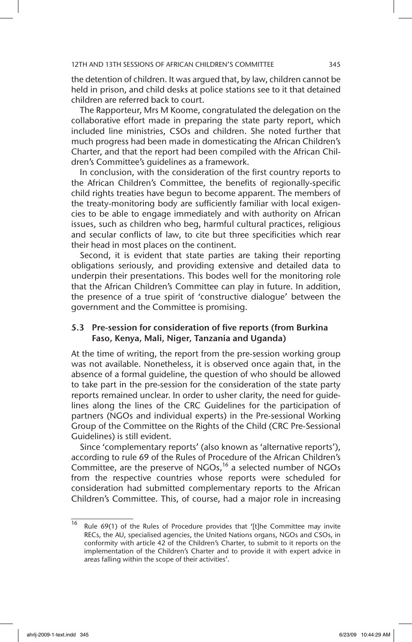the detention of children. It was argued that, by law, children cannot be held in prison, and child desks at police stations see to it that detained children are referred back to court.

The Rapporteur, Mrs M Koome, congratulated the delegation on the collaborative effort made in preparing the state party report, which included line ministries, CSOs and children. She noted further that much progress had been made in domesticating the African Children's Charter, and that the report had been compiled with the African Children's Committee's guidelines as a framework.

In conclusion, with the consideration of the first country reports to the African Children's Committee, the benefits of regionally-specific child rights treaties have begun to become apparent. The members of the treaty-monitoring body are sufficiently familiar with local exigencies to be able to engage immediately and with authority on African issues, such as children who beg, harmful cultural practices, religious and secular conflicts of law, to cite but three specificities which rear their head in most places on the continent.

Second, it is evident that state parties are taking their reporting obligations seriously, and providing extensive and detailed data to underpin their presentations. This bodes well for the monitoring role that the African Children's Committee can play in future. In addition, the presence of a true spirit of 'constructive dialogue' between the government and the Committee is promising.

## 5.3 Pre-session for consideration of five reports (from Burkina Faso, Kenya, Mali, Niger, Tanzania and Uganda)

At the time of writing, the report from the pre-session working group was not available. Nonetheless, it is observed once again that, in the absence of a formal guideline, the question of who should be allowed to take part in the pre-session for the consideration of the state party reports remained unclear. In order to usher clarity, the need for guidelines along the lines of the CRC Guidelines for the participation of partners (NGOs and individual experts) in the Pre-sessional Working Group of the Committee on the Rights of the Child (CRC Pre-Sessional Guidelines) is still evident.

Since 'complementary reports' (also known as 'alternative reports'), according to rule 69 of the Rules of Procedure of the African Children's Committee, are the preserve of NGOs, $16$  a selected number of NGOs from the respective countries whose reports were scheduled for consideration had submitted complementary reports to the African Children's Committee. This, of course, had a major role in increasing

 $\frac{16}{16}$  Rule 69(1) of the Rules of Procedure provides that '[t]he Committee may invite RECs, the AU, specialised agencies, the United Nations organs, NGOs and CSOs, in conformity with article 42 of the Children's Charter, to submit to it reports on the implementation of the Children's Charter and to provide it with expert advice in areas falling within the scope of their activities'.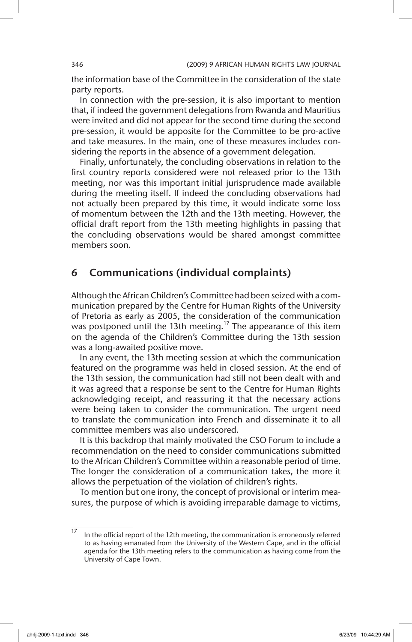the information base of the Committee in the consideration of the state party reports.

In connection with the pre-session, it is also important to mention that, if indeed the government delegations from Rwanda and Mauritius were invited and did not appear for the second time during the second pre-session, it would be apposite for the Committee to be pro-active and take measures. In the main, one of these measures includes considering the reports in the absence of a government delegation.

Finally, unfortunately, the concluding observations in relation to the first country reports considered were not released prior to the 13th meeting, nor was this important initial jurisprudence made available during the meeting itself. If indeed the concluding observations had not actually been prepared by this time, it would indicate some loss of momentum between the 12th and the 13th meeting. However, the official draft report from the 13th meeting highlights in passing that the concluding observations would be shared amongst committee members soon.

## 6 Communications (individual complaints)

Although the African Children's Committee had been seized with a communication prepared by the Centre for Human Rights of the University of Pretoria as early as 2005, the consideration of the communication was postponed until the 13th meeting.<sup>17</sup> The appearance of this item on the agenda of the Children's Committee during the 13th session was a long-awaited positive move.

In any event, the 13th meeting session at which the communication featured on the programme was held in closed session. At the end of the 13th session, the communication had still not been dealt with and it was agreed that a response be sent to the Centre for Human Rights acknowledging receipt, and reassuring it that the necessary actions were being taken to consider the communication. The urgent need to translate the communication into French and disseminate it to all committee members was also underscored.

It is this backdrop that mainly motivated the CSO Forum to include a recommendation on the need to consider communications submitted to the African Children's Committee within a reasonable period of time. The longer the consideration of a communication takes, the more it allows the perpetuation of the violation of children's rights.

To mention but one irony, the concept of provisional or interim measures, the purpose of which is avoiding irreparable damage to victims,

 $\frac{17}{17}$  In the official report of the 12th meeting, the communication is erroneously referred to as having emanated from the University of the Western Cape, and in the official agenda for the 13th meeting refers to the communication as having come from the University of Cape Town.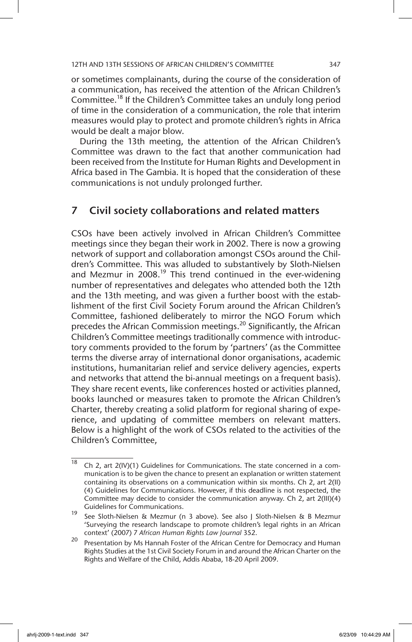or sometimes complainants, during the course of the consideration of a communication, has received the attention of the African Children's Committee.18 If the Children's Committee takes an unduly long period of time in the consideration of a communication, the role that interim measures would play to protect and promote children's rights in Africa would be dealt a major blow.

During the 13th meeting, the attention of the African Children's Committee was drawn to the fact that another communication had been received from the Institute for Human Rights and Development in Africa based in The Gambia. It is hoped that the consideration of these communications is not unduly prolonged further.

## 7 Civil society collaborations and related matters

CSOs have been actively involved in African Children's Committee meetings since they began their work in 2002. There is now a growing network of support and collaboration amongst CSOs around the Children's Committee. This was alluded to substantively by Sloth-Nielsen and Mezmur in 2008.<sup>19</sup> This trend continued in the ever-widening number of representatives and delegates who attended both the 12th and the 13th meeting, and was given a further boost with the establishment of the first Civil Society Forum around the African Children's Committee, fashioned deliberately to mirror the NGO Forum which precedes the African Commission meetings.<sup>20</sup> Significantly, the African Children's Committee meetings traditionally commence with introductory comments provided to the forum by 'partners' (as the Committee terms the diverse array of international donor organisations, academic institutions, humanitarian relief and service delivery agencies, experts and networks that attend the bi-annual meetings on a frequent basis). They share recent events, like conferences hosted or activities planned, books launched or measures taken to promote the African Children's Charter, thereby creating a solid platform for regional sharing of experience, and updating of committee members on relevant matters. Below is a highlight of the work of CSOs related to the activities of the Children's Committee,

 $\frac{18}{18}$  Ch 2, art 2(IV)(1) Guidelines for Communications. The state concerned in a communication is to be given the chance to present an explanation or written statement containing its observations on a communication within six months. Ch 2, art 2(II) (4) Guidelines for Communications. However, if this deadline is not respected, the Committee may decide to consider the communication anyway. Ch 2, art 2(III)(4) Guidelines for Communications.

<sup>19</sup> See Sloth-Nielsen & Mezmur (n 3 above). See also J Sloth-Nielsen & B Mezmur 'Surveying the research landscape to promote children's legal rights in an African context' (2007) 7 *African Human Rights Law Journal* 352.

<sup>20</sup> Presentation by Ms Hannah Foster of the African Centre for Democracy and Human Rights Studies at the 1st Civil Society Forum in and around the African Charter on the Rights and Welfare of the Child, Addis Ababa, 18-20 April 2009.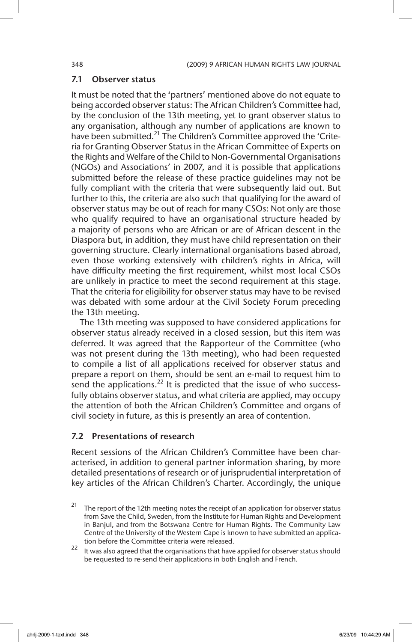### 7.1 Observer status

It must be noted that the 'partners' mentioned above do not equate to being accorded observer status: The African Children's Committee had, by the conclusion of the 13th meeting, yet to grant observer status to any organisation, although any number of applications are known to have been submitted.<sup>21</sup> The Children's Committee approved the 'Criteria for Granting Observer Status in the African Committee of Experts on the Rights and Welfare of the Child to Non-Governmental Organisations (NGOs) and Associations' in 2007, and it is possible that applications submitted before the release of these practice guidelines may not be fully compliant with the criteria that were subsequently laid out. But further to this, the criteria are also such that qualifying for the award of observer status may be out of reach for many CSOs: Not only are those who qualify required to have an organisational structure headed by a majority of persons who are African or are of African descent in the Diaspora but, in addition, they must have child representation on their governing structure. Clearly international organisations based abroad, even those working extensively with children's rights in Africa, will have difficulty meeting the first requirement, whilst most local CSOs are unlikely in practice to meet the second requirement at this stage. That the criteria for eligibility for observer status may have to be revised was debated with some ardour at the Civil Society Forum preceding the 13th meeting.

The 13th meeting was supposed to have considered applications for observer status already received in a closed session, but this item was deferred. It was agreed that the Rapporteur of the Committee (who was not present during the 13th meeting), who had been requested to compile a list of all applications received for observer status and prepare a report on them, should be sent an e-mail to request him to send the applications.<sup>22</sup> It is predicted that the issue of who successfully obtains observer status, and what criteria are applied, may occupy the attention of both the African Children's Committee and organs of civil society in future, as this is presently an area of contention.

### 7.2 Presentations of research

Recent sessions of the African Children's Committee have been characterised, in addition to general partner information sharing, by more detailed presentations of research or of jurisprudential interpretation of key articles of the African Children's Charter. Accordingly, the unique

 $\overline{21}$  The report of the 12th meeting notes the receipt of an application for observer status from Save the Child, Sweden, from the Institute for Human Rights and Development in Banjul, and from the Botswana Centre for Human Rights. The Community Law Centre of the University of the Western Cape is known to have submitted an application before the Committee criteria were released.

<sup>&</sup>lt;sup>22</sup> It was also agreed that the organisations that have applied for observer status should be requested to re-send their applications in both English and French.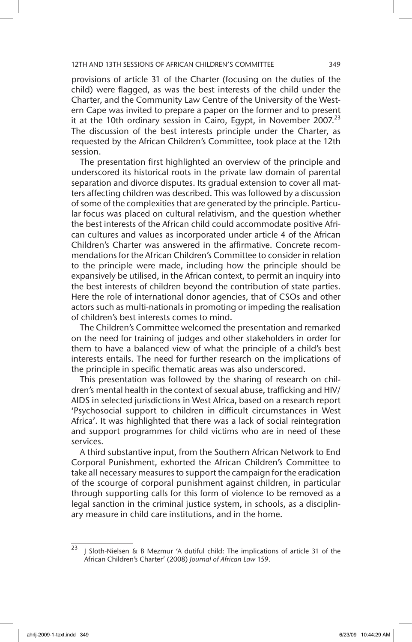provisions of article 31 of the Charter (focusing on the duties of the child) were flagged, as was the best interests of the child under the Charter, and the Community Law Centre of the University of the Western Cape was invited to prepare a paper on the former and to present it at the 10th ordinary session in Cairo, Egypt, in November 2007.<sup>23</sup> The discussion of the best interests principle under the Charter, as requested by the African Children's Committee, took place at the 12th session.

The presentation first highlighted an overview of the principle and underscored its historical roots in the private law domain of parental separation and divorce disputes. Its gradual extension to cover all matters affecting children was described. This was followed by a discussion of some of the complexities that are generated by the principle. Particular focus was placed on cultural relativism, and the question whether the best interests of the African child could accommodate positive African cultures and values as incorporated under article 4 of the African Children's Charter was answered in the affirmative. Concrete recommendations for the African Children's Committee to consider in relation to the principle were made, including how the principle should be expansively be utilised, in the African context, to permit an inquiry into the best interests of children beyond the contribution of state parties. Here the role of international donor agencies, that of CSOs and other actors such as multi-nationals in promoting or impeding the realisation of children's best interests comes to mind.

The Children's Committee welcomed the presentation and remarked on the need for training of judges and other stakeholders in order for them to have a balanced view of what the principle of a child's best interests entails. The need for further research on the implications of the principle in specific thematic areas was also underscored.

This presentation was followed by the sharing of research on children's mental health in the context of sexual abuse, trafficking and HIV/ AIDS in selected jurisdictions in West Africa, based on a research report 'Psychosocial support to children in difficult circumstances in West Africa'. It was highlighted that there was a lack of social reintegration and support programmes for child victims who are in need of these services.

A third substantive input, from the Southern African Network to End Corporal Punishment, exhorted the African Children's Committee to take all necessary measures to support the campaign for the eradication of the scourge of corporal punishment against children, in particular through supporting calls for this form of violence to be removed as a legal sanction in the criminal justice system, in schools, as a disciplinary measure in child care institutions, and in the home.

 $\overline{a^2}$  J Sloth-Nielsen & B Mezmur 'A dutiful child: The implications of article 31 of the African Children's Charter' (2008) *Journal of African Law* 159.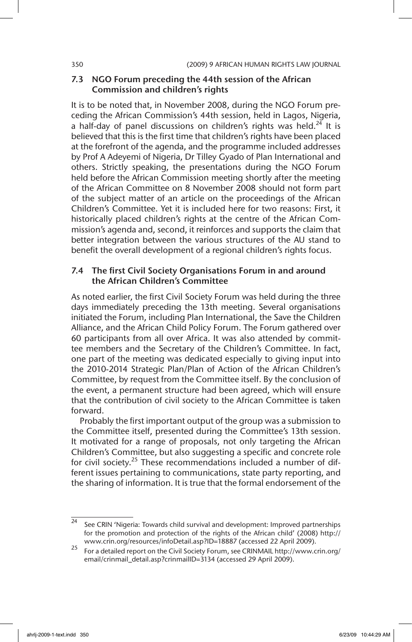### 7.3 NGO Forum preceding the 44th session of the African Commission and children's rights

It is to be noted that, in November 2008, during the NGO Forum preceding the African Commission's 44th session, held in Lagos, Nigeria, a half-day of panel discussions on children's rights was held.<sup>24</sup> It is believed that this is the first time that children's rights have been placed at the forefront of the agenda, and the programme included addresses by Prof A Adeyemi of Nigeria, Dr Tilley Gyado of Plan International and others. Strictly speaking, the presentations during the NGO Forum held before the African Commission meeting shortly after the meeting of the African Committee on 8 November 2008 should not form part of the subject matter of an article on the proceedings of the African Children's Committee. Yet it is included here for two reasons: First, it historically placed children's rights at the centre of the African Commission's agenda and, second, it reinforces and supports the claim that better integration between the various structures of the AU stand to benefit the overall development of a regional children's rights focus.

## 7.4 The first Civil Society Organisations Forum in and around the African Children's Committee

As noted earlier, the first Civil Society Forum was held during the three days immediately preceding the 13th meeting. Several organisations initiated the Forum, including Plan International, the Save the Children Alliance, and the African Child Policy Forum. The Forum gathered over 60 participants from all over Africa. It was also attended by committee members and the Secretary of the Children's Committee. In fact, one part of the meeting was dedicated especially to giving input into the 2010-2014 Strategic Plan/Plan of Action of the African Children's Committee, by request from the Committee itself. By the conclusion of the event, a permanent structure had been agreed, which will ensure that the contribution of civil society to the African Committee is taken forward.

Probably the first important output of the group was a submission to the Committee itself, presented during the Committee's 13th session. It motivated for a range of proposals, not only targeting the African Children's Committee, but also suggesting a specific and concrete role for civil society.<sup>25</sup> These recommendations included a number of different issues pertaining to communications, state party reporting, and the sharing of information. It is true that the formal endorsement of the

 $24$  See CRIN 'Nigeria: Towards child survival and development: Improved partnerships for the promotion and protection of the rights of the African child' (2008) http:// www.crin.org/resources/infoDetail.asp?ID=18887 (accessed 22 April 2009).

<sup>25</sup> For a detailed report on the Civil Society Forum, see CRINMAIL http://www.crin.org/ email/crinmail\_detail.asp?crinmailID=3134 (accessed 29 April 2009).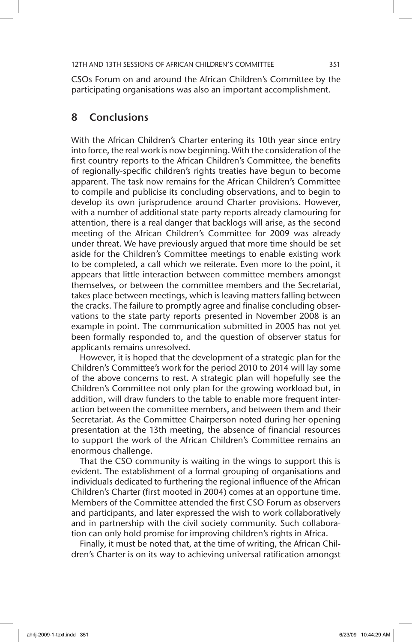CSOs Forum on and around the African Children's Committee by the participating organisations was also an important accomplishment.

## 8 Conclusions

With the African Children's Charter entering its 10th year since entry into force, the real work is now beginning. With the consideration of the first country reports to the African Children's Committee, the benefits of regionally-specific children's rights treaties have begun to become apparent. The task now remains for the African Children's Committee to compile and publicise its concluding observations, and to begin to develop its own jurisprudence around Charter provisions. However, with a number of additional state party reports already clamouring for attention, there is a real danger that backlogs will arise, as the second meeting of the African Children's Committee for 2009 was already under threat. We have previously argued that more time should be set aside for the Children's Committee meetings to enable existing work to be completed, a call which we reiterate. Even more to the point, it appears that little interaction between committee members amongst themselves, or between the committee members and the Secretariat, takes place between meetings, which is leaving matters falling between the cracks. The failure to promptly agree and finalise concluding observations to the state party reports presented in November 2008 is an example in point. The communication submitted in 2005 has not yet been formally responded to, and the question of observer status for applicants remains unresolved.

However, it is hoped that the development of a strategic plan for the Children's Committee's work for the period 2010 to 2014 will lay some of the above concerns to rest. A strategic plan will hopefully see the Children's Committee not only plan for the growing workload but, in addition, will draw funders to the table to enable more frequent interaction between the committee members, and between them and their Secretariat. As the Committee Chairperson noted during her opening presentation at the 13th meeting, the absence of financial resources to support the work of the African Children's Committee remains an enormous challenge.

That the CSO community is waiting in the wings to support this is evident. The establishment of a formal grouping of organisations and individuals dedicated to furthering the regional influence of the African Children's Charter (first mooted in 2004) comes at an opportune time. Members of the Committee attended the first CSO Forum as observers and participants, and later expressed the wish to work collaboratively and in partnership with the civil society community. Such collaboration can only hold promise for improving children's rights in Africa.

Finally, it must be noted that, at the time of writing, the African Children's Charter is on its way to achieving universal ratification amongst